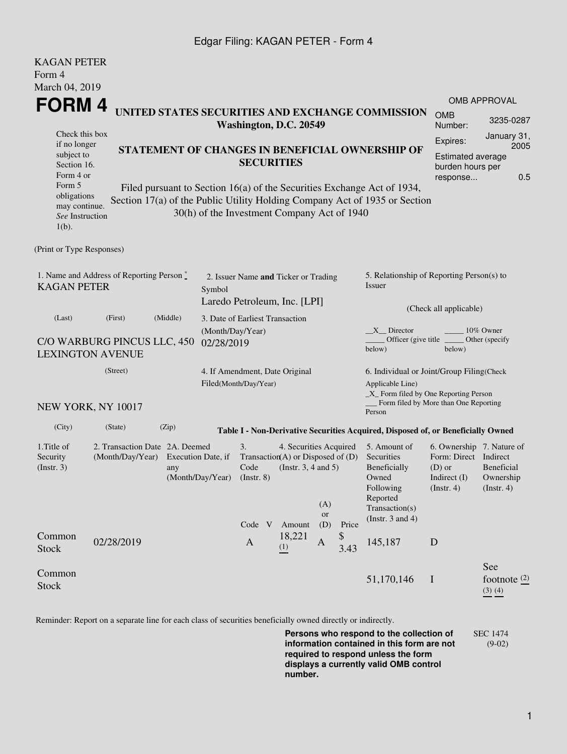### Edgar Filing: KAGAN PETER - Form 4

| <b>KAGAN PETER</b><br>Form 4                                                                                                          |                                                                                                     |                                                                                                                                                                                                                                                                              |                                 |                                                                                                                                    |                         |                                                                                         |                     |                                                                                                     |                                                                                                 |                                                                                                    |  |  |
|---------------------------------------------------------------------------------------------------------------------------------------|-----------------------------------------------------------------------------------------------------|------------------------------------------------------------------------------------------------------------------------------------------------------------------------------------------------------------------------------------------------------------------------------|---------------------------------|------------------------------------------------------------------------------------------------------------------------------------|-------------------------|-----------------------------------------------------------------------------------------|---------------------|-----------------------------------------------------------------------------------------------------|-------------------------------------------------------------------------------------------------|----------------------------------------------------------------------------------------------------|--|--|
| March 04, 2019                                                                                                                        |                                                                                                     |                                                                                                                                                                                                                                                                              |                                 |                                                                                                                                    |                         |                                                                                         |                     |                                                                                                     |                                                                                                 |                                                                                                    |  |  |
|                                                                                                                                       | FORM 4                                                                                              |                                                                                                                                                                                                                                                                              |                                 |                                                                                                                                    |                         |                                                                                         |                     |                                                                                                     | <b>OMB APPROVAL</b>                                                                             |                                                                                                    |  |  |
|                                                                                                                                       |                                                                                                     | UNITED STATES SECURITIES AND EXCHANGE COMMISSION<br>Washington, D.C. 20549                                                                                                                                                                                                   |                                 |                                                                                                                                    |                         |                                                                                         |                     | <b>OMB</b><br>Number:                                                                               | 3235-0287                                                                                       |                                                                                                    |  |  |
| Check this box<br>if no longer<br>subject to<br>Section 16.<br>Form 4 or<br>Form 5<br>obligations<br>may continue.<br>See Instruction |                                                                                                     | STATEMENT OF CHANGES IN BENEFICIAL OWNERSHIP OF<br><b>SECURITIES</b><br>Filed pursuant to Section 16(a) of the Securities Exchange Act of 1934,<br>Section 17(a) of the Public Utility Holding Company Act of 1935 or Section<br>30(h) of the Investment Company Act of 1940 |                                 |                                                                                                                                    |                         |                                                                                         |                     |                                                                                                     |                                                                                                 | January 31,<br>Expires:<br>2005<br><b>Estimated average</b><br>burden hours per<br>0.5<br>response |  |  |
| $1(b)$ .                                                                                                                              |                                                                                                     |                                                                                                                                                                                                                                                                              |                                 |                                                                                                                                    |                         |                                                                                         |                     |                                                                                                     |                                                                                                 |                                                                                                    |  |  |
| (Print or Type Responses)                                                                                                             |                                                                                                     |                                                                                                                                                                                                                                                                              |                                 |                                                                                                                                    |                         |                                                                                         |                     |                                                                                                     |                                                                                                 |                                                                                                    |  |  |
| 1. Name and Address of Reporting Person $\degree$<br><b>KAGAN PETER</b>                                                               | 2. Issuer Name and Ticker or Trading<br>Symbol<br>Laredo Petroleum, Inc. [LPI]                      |                                                                                                                                                                                                                                                                              |                                 |                                                                                                                                    |                         | 5. Relationship of Reporting Person(s) to<br>Issuer                                     |                     |                                                                                                     |                                                                                                 |                                                                                                    |  |  |
| (Last)                                                                                                                                | (First)                                                                                             | (Middle)                                                                                                                                                                                                                                                                     | 3. Date of Earliest Transaction |                                                                                                                                    |                         |                                                                                         |                     |                                                                                                     | (Check all applicable)                                                                          |                                                                                                    |  |  |
| C/O WARBURG PINCUS LLC, 450<br><b>LEXINGTON AVENUE</b>                                                                                | (Month/Day/Year)<br>02/28/2019                                                                      |                                                                                                                                                                                                                                                                              |                                 |                                                                                                                                    |                         | $X$ Director<br>10% Owner<br>Officer (give title)<br>Other (specify<br>below)<br>below) |                     |                                                                                                     |                                                                                                 |                                                                                                    |  |  |
|                                                                                                                                       | 4. If Amendment, Date Original                                                                      |                                                                                                                                                                                                                                                                              |                                 |                                                                                                                                    |                         | 6. Individual or Joint/Group Filing(Check                                               |                     |                                                                                                     |                                                                                                 |                                                                                                    |  |  |
| NEW YORK, NY 10017                                                                                                                    |                                                                                                     |                                                                                                                                                                                                                                                                              |                                 | Filed(Month/Day/Year)                                                                                                              |                         |                                                                                         |                     | Applicable Line)<br>_X_ Form filed by One Reporting Person<br>Form filed by More than One Reporting |                                                                                                 |                                                                                                    |  |  |
|                                                                                                                                       |                                                                                                     |                                                                                                                                                                                                                                                                              |                                 |                                                                                                                                    |                         |                                                                                         |                     | Person                                                                                              |                                                                                                 |                                                                                                    |  |  |
| (City)                                                                                                                                | (State)                                                                                             | (Zip)                                                                                                                                                                                                                                                                        |                                 |                                                                                                                                    |                         |                                                                                         |                     | Table I - Non-Derivative Securities Acquired, Disposed of, or Beneficially Owned                    |                                                                                                 |                                                                                                    |  |  |
| 1. Title of<br>Security<br>(Insert. 3)                                                                                                | 2. Transaction Date 2A. Deemed<br>(Month/Day/Year)<br>Execution Date, if<br>any<br>(Month/Day/Year) |                                                                                                                                                                                                                                                                              |                                 | 3.<br>4. Securities Acquired<br>Transaction(A) or Disposed of $(D)$<br>Code<br>(Instr. 3, 4 and 5)<br>$($ Instr. $8)$<br>(A)<br>or |                         |                                                                                         |                     | 5. Amount of<br>Securities<br>Beneficially<br>Owned<br>Following<br>Reported<br>Transaction(s)      | 6. Ownership 7. Nature of<br>Form: Direct Indirect<br>$(D)$ or<br>Indirect $(I)$<br>(Insert. 4) | Beneficial<br>Ownership<br>(Insert. 4)                                                             |  |  |
| Common<br><b>Stock</b>                                                                                                                | 02/28/2019                                                                                          |                                                                                                                                                                                                                                                                              |                                 | Code V<br>$\mathbf{A}$                                                                                                             | Amount<br>18,221<br>(1) | (D)<br>$\mathbf{A}$                                                                     | Price<br>\$<br>3.43 | (Instr. $3$ and $4$ )<br>145,187                                                                    | D                                                                                               |                                                                                                    |  |  |
| Common<br>Stock                                                                                                                       |                                                                                                     |                                                                                                                                                                                                                                                                              |                                 |                                                                                                                                    |                         |                                                                                         |                     | 51,170,146                                                                                          | $\mathbf I$                                                                                     | See<br>footnote $\frac{(2)}{2}$<br>$(3)$ $(4)$                                                     |  |  |

Reminder: Report on a separate line for each class of securities beneficially owned directly or indirectly.

**Persons who respond to the collection of information contained in this form are not required to respond unless the form displays a currently valid OMB control number.** SEC 1474 (9-02)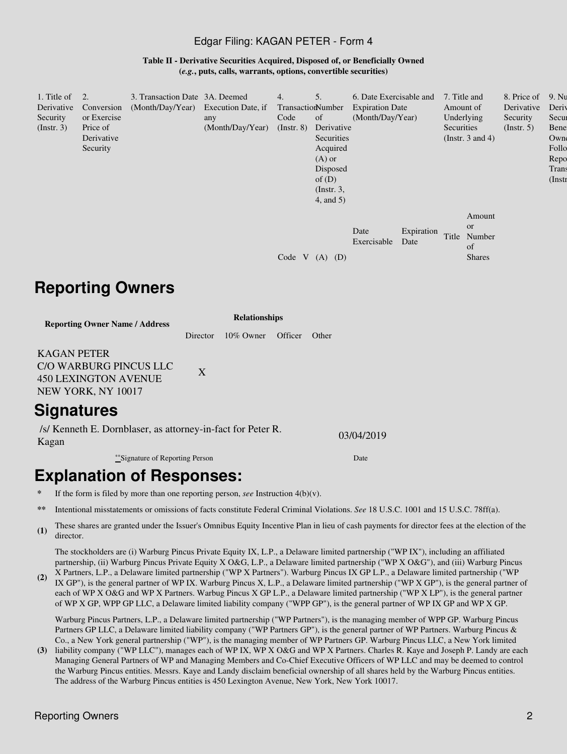### Edgar Filing: KAGAN PETER - Form 4

**Table II - Derivative Securities Acquired, Disposed of, or Beneficially Owned (***e.g.***, puts, calls, warrants, options, convertible securities)**

| 1. Title of<br>Derivative<br>Security<br>$($ Instr. 3 $)$ | 2.<br>Conversion<br>or Exercise<br>Price of<br>Derivative<br>Security | 3. Transaction Date 3A. Deemed<br>(Month/Day/Year) Execution Date, if | any<br>(Month/Day/Year) | 4.<br>TransactionNumber<br>Code<br>$($ Instr. 8 $)$ | 5.<br>of<br>Derivative<br>Securities<br>Acquired<br>$(A)$ or<br>Disposed<br>of $(D)$<br>$($ Instr. $3,$<br>$4$ , and $5$ ) | 6. Date Exercisable and<br><b>Expiration Date</b><br>(Month/Day/Year) |                    | 7. Title and<br>Amount of<br>Underlying<br>Securities | (Instr. $3$ and $4$ )                                | 8. Price of<br>Derivative<br>Security<br>(Insert. 5) | 9. Nu<br>Deriy<br>Secur<br>Bene<br>Owne<br>Follo<br>Repo<br>Trans<br>$($ Instr |
|-----------------------------------------------------------|-----------------------------------------------------------------------|-----------------------------------------------------------------------|-------------------------|-----------------------------------------------------|----------------------------------------------------------------------------------------------------------------------------|-----------------------------------------------------------------------|--------------------|-------------------------------------------------------|------------------------------------------------------|------------------------------------------------------|--------------------------------------------------------------------------------|
|                                                           |                                                                       |                                                                       |                         | Code V                                              | (D)<br>(A)                                                                                                                 | Date<br>Exercisable                                                   | Expiration<br>Date | Title                                                 | Amount<br><b>or</b><br>Number<br>of<br><b>Shares</b> |                                                      |                                                                                |

## **Reporting Owners**

**Reporting Owner Name / Address**

**Relationships** Director 10% Owner Officer Other

KAGAN PETER C/O WARBURG PINCUS LLC

450 LEXINGTON AVENUE NEW YORK, NY 10017

### **Signatures**

/s/ Kenneth E. Dornblaser, as attorney-in-fact for Peter R. Kagan 03/04/2019

\*\*Signature of Reporting Person Date

# **Explanation of Responses:**

If the form is filed by more than one reporting person, *see* Instruction  $4(b)(v)$ .

X

- **\*\*** Intentional misstatements or omissions of facts constitute Federal Criminal Violations. *See* 18 U.S.C. 1001 and 15 U.S.C. 78ff(a).
- **(1)** These shares are granted under the Issuer's Omnibus Equity Incentive Plan in lieu of cash payments for director fees at the election of the director.

The stockholders are (i) Warburg Pincus Private Equity IX, L.P., a Delaware limited partnership ("WP IX"), including an affiliated partnership, (ii) Warburg Pincus Private Equity X O&G, L.P., a Delaware limited partnership ("WP X O&G"), and (iii) Warburg Pincus X Partners, L.P., a Delaware limited partnership ("WP X Partners"). Warburg Pincus IX GP L.P., a Delaware limited partnership ("WP

**(2)** IX GP"), is the general partner of WP IX. Warburg Pincus X, L.P., a Delaware limited partnership ("WP X GP"), is the general partner of each of WP X O&G and WP X Partners. Warbug Pincus X GP L.P., a Delaware limited partnership ("WP X LP"), is the general partner of WP X GP, WPP GP LLC, a Delaware limited liability company ("WPP GP"), is the general partner of WP IX GP and WP X GP.

Warburg Pincus Partners, L.P., a Delaware limited partnership ("WP Partners"), is the managing member of WPP GP. Warburg Pincus Partners GP LLC, a Delaware limited liability company ("WP Partners GP"), is the general partner of WP Partners. Warburg Pincus & Co., a New York general partnership ("WP"), is the managing member of WP Partners GP. Warburg Pincus LLC, a New York limited

**(3)** liability company ("WP LLC"), manages each of WP IX, WP X O&G and WP X Partners. Charles R. Kaye and Joseph P. Landy are each Managing General Partners of WP and Managing Members and Co-Chief Executive Officers of WP LLC and may be deemed to control the Warburg Pincus entities. Messrs. Kaye and Landy disclaim beneficial ownership of all shares held by the Warburg Pincus entities. The address of the Warburg Pincus entities is 450 Lexington Avenue, New York, New York 10017.